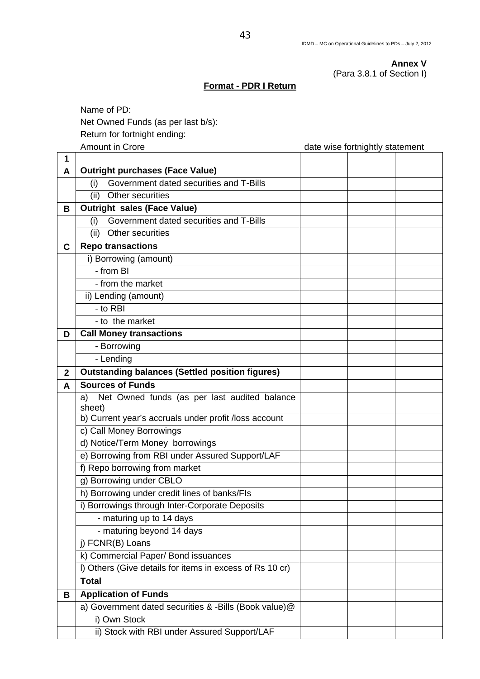**Annex V**  (Para 3.8.1 of Section I)

## **Format - PDR I Return**

 Name of PD: Net Owned Funds (as per last b/s):

Return for fortnight ending:

Amount in Crore **and Cropy** and Cross and Cross and Cross and Cross and Cross and Cross and Cross and Cross and C

| 1            |                                                          |  |  |
|--------------|----------------------------------------------------------|--|--|
| A            | <b>Outright purchases (Face Value)</b>                   |  |  |
|              | Government dated securities and T-Bills<br>(i)           |  |  |
|              | Other securities<br>(ii)                                 |  |  |
| В            | <b>Outright sales (Face Value)</b>                       |  |  |
|              | Government dated securities and T-Bills<br>(i)           |  |  |
|              | Other securities<br>(ii)                                 |  |  |
| C            | <b>Repo transactions</b>                                 |  |  |
|              | i) Borrowing (amount)                                    |  |  |
|              | - from BI                                                |  |  |
|              | - from the market                                        |  |  |
|              | ii) Lending (amount)                                     |  |  |
|              | - to RBI                                                 |  |  |
|              | - to the market                                          |  |  |
| D            | <b>Call Money transactions</b>                           |  |  |
|              | - Borrowing                                              |  |  |
|              | - Lending                                                |  |  |
| $\mathbf{2}$ | <b>Outstanding balances (Settled position figures)</b>   |  |  |
| A            | <b>Sources of Funds</b>                                  |  |  |
|              | Net Owned funds (as per last audited balance<br>a)       |  |  |
|              | sheet)                                                   |  |  |
|              | b) Current year's accruals under profit /loss account    |  |  |
|              | c) Call Money Borrowings                                 |  |  |
|              | d) Notice/Term Money borrowings                          |  |  |
|              | e) Borrowing from RBI under Assured Support/LAF          |  |  |
|              | f) Repo borrowing from market                            |  |  |
|              | g) Borrowing under CBLO                                  |  |  |
|              | h) Borrowing under credit lines of banks/FIs             |  |  |
|              | i) Borrowings through Inter-Corporate Deposits           |  |  |
|              | - maturing up to 14 days                                 |  |  |
|              | - maturing beyond 14 days                                |  |  |
|              | j) FCNR(B) Loans                                         |  |  |
|              | k) Commercial Paper/ Bond issuances                      |  |  |
|              | I) Others (Give details for items in excess of Rs 10 cr) |  |  |
|              | <b>Total</b>                                             |  |  |
| В            | <b>Application of Funds</b>                              |  |  |
|              | a) Government dated securities & -Bills (Book value)@    |  |  |
|              | i) Own Stock                                             |  |  |
|              | ii) Stock with RBI under Assured Support/LAF             |  |  |